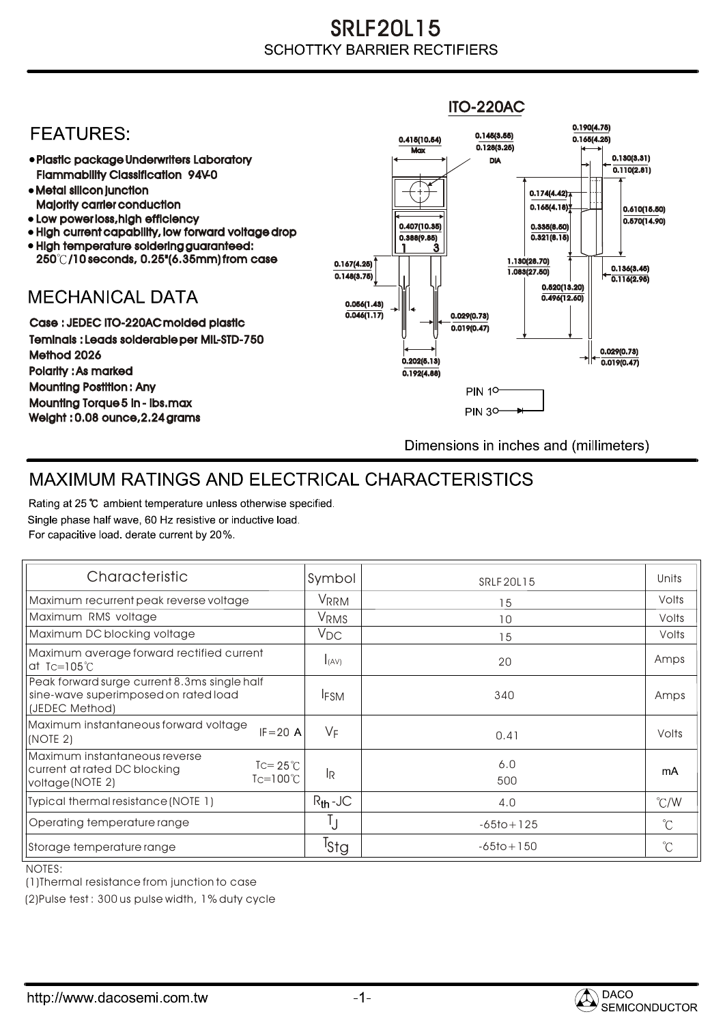## SRLF20L15 **SCHOTTKY BARRIER RECTIFIERS**

## ITO-220AC0.190(4.75) **FEATURES:** 0.145(3.55) 0.415(10.54) 0.165(4.25)  $Max \overline{0.128(3.25)}$ 0.130(3.31) Plastic package Underwriters Laboratory DIA  $\overline{0.110(2.81)}$ Flammability Classification 94V-0 Metal silicon junction  $0.174(4.42)$ Majority carrier conduction  $0.165(4.18)$ 0.610(15.50) • Low power loss, high efficiency  $0.570(14.90)$ 0.407(10.35) 0.335(8.50) • High current capability, low forward voltage drop  $0.321(8.15)$ 0.388(9.85) High temperature soldering guaranteed: 1 3 250 /10 seconds, 0.25"(6.35mm) from case 0.167(4.25) 1.130(28.70) 0.136(3.45) 1.083(27.50) 0.148(3.75) 0.116(2.95) 0.520(13.20) **MECHANICAL DATA**  $0.496(12.60)$ 0.056(1.43)  $\overline{0.046(1.17)}$   $\overline{ }$   $\parallel$   $\parallel$   $\parallel$  0.029(0.73) Case : JEDEC ITO-220AC molded plastic 0.019(0.47) Teminals : Leads solderable per MIL-STD-750 0.029(0.73) Method 2026  $0.202(5.13)$   $\rightarrow$   $\mid$   $\leftarrow$   $\frac{}{0.019(0.47)}$ Polarity : As marked 0.192(4.88) Mounting Postition : Any **PIN 10** Mounting Torque 5 in - lbs.max **PIN 30-**Weight : 0.08 ounce,2.24 grams Dimensions in inches and (millimeters)

## MAXIMUM RATINGS AND ELECTRICAL CHARACTERISTICS

Rating at 25 °C ambient temperature unless otherwise specified. Single phase half wave, 60 Hz resistive or inductive load. For capacitive load, derate current by 20%.

| Characteristic                                                                                                                       | Symbol           | <b>SRLF20L15</b> | Units         |
|--------------------------------------------------------------------------------------------------------------------------------------|------------------|------------------|---------------|
| Maximum recurrent peak reverse voltage                                                                                               | VRRM             | 15               | Volts         |
| Maximum RMS voltage                                                                                                                  | VRMS             | 10               | Volts         |
| Maximum DC blocking voltage                                                                                                          | $V_{DC}$         | 15               | Volts         |
| Maximum average forward rectified current<br>at Tc=105 $\degree$ C                                                                   | I(AV)            | 20               | Amps          |
| Peak forward surge current 8.3ms single half<br>sine-wave superimposed on rated load<br>(JEDEC Method)                               | <b>IFSM</b>      | 340              | Amps          |
| Maximum instantaneous forward voltage<br>$IF = 20 A$<br>(NOTE 2)                                                                     | $V_F$            | 0.41             | Volts         |
| Maximum instantaneous reverse<br>$\text{I} = 25^{\circ}$ C<br>current at rated DC blocking<br>$Tc=100^{\circ}$ C<br>voltage (NOTE 2) | <b>IR</b>        | 6.0<br>500       | mA            |
| Typical thermal resistance (NOTE 1)                                                                                                  | $R_{th}$ -JC     | 4.0              | $\degree$ C/W |
| Operating temperature range                                                                                                          | Ţ                | $-65$ to + 125   | $^{\circ}C$   |
| Storage temperature range                                                                                                            | <sup>1</sup> Sta | $-65$ to + 150   | $^{\circ}C$   |

NOTES:

(1)Thermal resistance from junction to case

(2)Pulse test : 300 us pulse width, 1% duty cycle